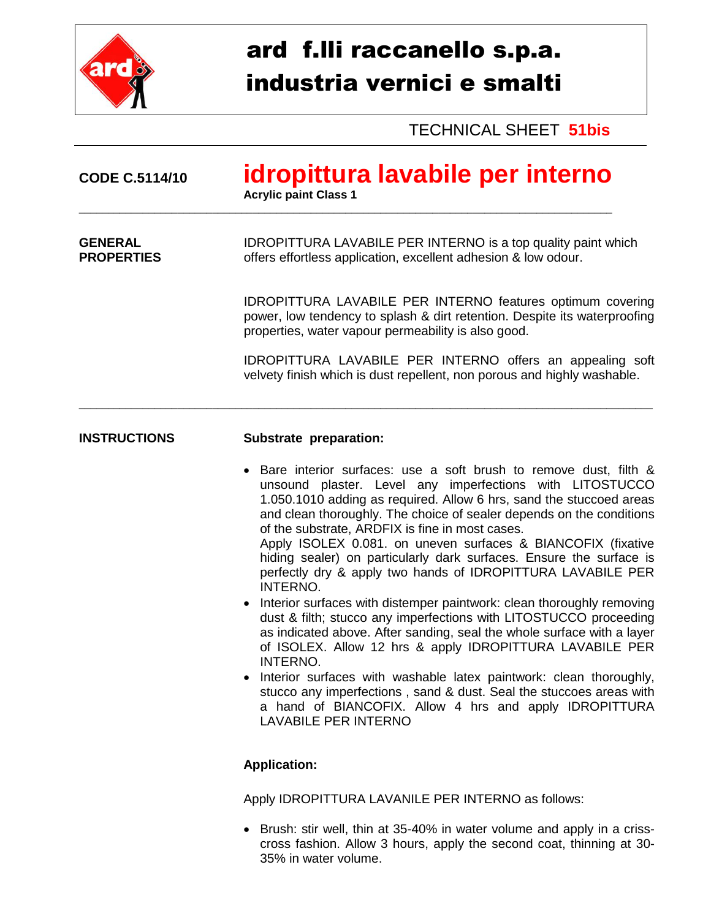

## ard f.lli raccanello s.p.a. industria vernici e smalti

TECHNICAL SHEET **51bis**

| <b>CODE C.5114/10</b>               | idropittura lavabile per interno<br><b>Acrylic paint Class 1</b>                                                                                                                                      |  |
|-------------------------------------|-------------------------------------------------------------------------------------------------------------------------------------------------------------------------------------------------------|--|
| <b>GENERAL</b><br><b>PROPERTIES</b> | <b>IDROPITTURA LAVABILE PER INTERNO</b> is a top quality paint which<br>offers effortless application, excellent adhesion & low odour.                                                                |  |
|                                     | <b>IDROPITTURA LAVABILE PER INTERNO features optimum covering</b><br>power, low tendency to splash & dirt retention. Despite its waterproofing<br>properties, water vapour permeability is also good. |  |
|                                     | IDROPITTURA LAVABILE PER INTERNO offers an appealing soft<br>velvety finish which is dust repellent, non porous and highly washable.                                                                  |  |
| <b>INSTRUCTIONS</b>                 | Substrate preparation:                                                                                                                                                                                |  |
|                                     | Bare interior surfaces: use a soft brush to remove dust, filth &<br>unsound plaster. Level any imperfections with LITOSTUCCO                                                                          |  |

- unsound plaster. Level any imperfections with LITOSTUCCO 1.050.1010 adding as required. Allow 6 hrs, sand the stuccoed areas and clean thoroughly. The choice of sealer depends on the conditions of the substrate, ARDFIX is fine in most cases. Apply ISOLEX 0.081. on uneven surfaces & BIANCOFIX (fixative hiding sealer) on particularly dark surfaces. Ensure the surface is perfectly dry & apply two hands of IDROPITTURA LAVABILE PER INTERNO.
- Interior surfaces with distemper paintwork: clean thoroughly removing dust & filth; stucco any imperfections with LITOSTUCCO proceeding as indicated above. After sanding, seal the whole surface with a layer of ISOLEX. Allow 12 hrs & apply IDROPITTURA LAVABILE PER INTERNO.
- Interior surfaces with washable latex paintwork: clean thoroughly, stucco any imperfections , sand & dust. Seal the stuccoes areas with a hand of BIANCOFIX. Allow 4 hrs and apply IDROPITTURA LAVABILE PER INTERNO

## **Application:**

Apply IDROPITTURA LAVANILE PER INTERNO as follows:

• Brush: stir well, thin at 35-40% in water volume and apply in a crisscross fashion. Allow 3 hours, apply the second coat, thinning at 30- 35% in water volume.